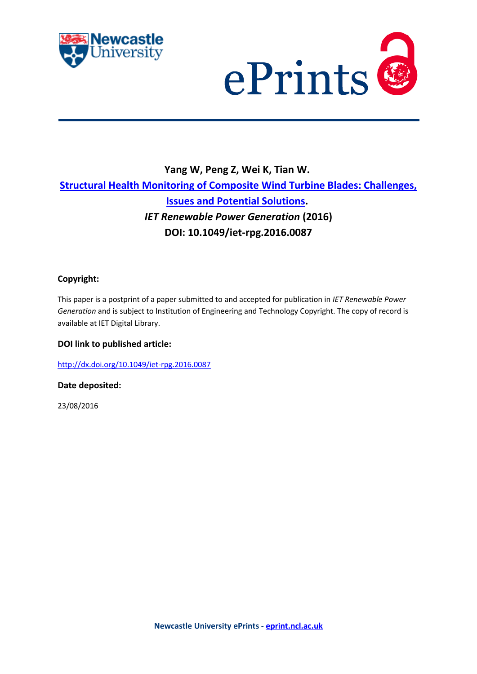



# **Yang W, Peng Z, Wei K, Tian W. [Structural Health Monitoring of Composite Wind Turbine Blades: Challenges,](javascript:ViewPublication(224616);)  [Issues and Potential Solutions.](javascript:ViewPublication(224616);)** *IET Renewable Power Generation* **(2016) DOI: 10.1049/iet-rpg.2016.0087**

# **Copyright:**

This paper is a postprint of a paper submitted to and accepted for publication in *IET Renewable Power Generation* and is subject to Institution of Engineering and Technology Copyright. The copy of record is available at IET Digital Library.

# **DOI link to published article:**

<http://dx.doi.org/10.1049/iet-rpg.2016.0087>

**Date deposited:** 

23/08/2016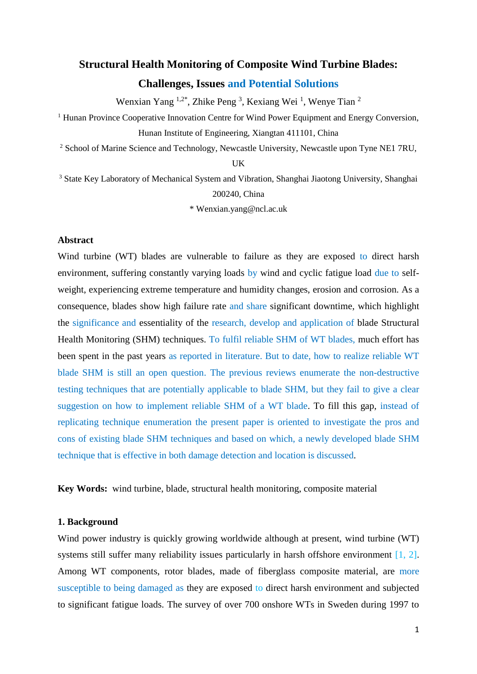# **Structural Health Monitoring of Composite Wind Turbine Blades:**

# **Challenges, Issues and Potential Solutions**

Wenxian Yang <sup>1,2\*</sup>, Zhike Peng<sup>3</sup>, Kexiang Wei<sup>1</sup>, Wenye Tian<sup>2</sup>

<sup>1</sup> Hunan Province Cooperative Innovation Centre for Wind Power Equipment and Energy Conversion, Hunan Institute of Engineering, Xiangtan 411101, China

<sup>2</sup> School of Marine Science and Technology, Newcastle University, Newcastle upon Tyne NE1 7RU,

UK

<sup>3</sup> State Key Laboratory of Mechanical System and Vibration, Shanghai Jiaotong University, Shanghai 200240, China

\* Wenxian.yang@ncl.ac.uk

# **Abstract**

Wind turbine (WT) blades are vulnerable to failure as they are exposed to direct harsh environment, suffering constantly varying loads by wind and cyclic fatigue load due to selfweight, experiencing extreme temperature and humidity changes, erosion and corrosion. As a consequence, blades show high failure rate and share significant downtime, which highlight the significance and essentiality of the research, develop and application of blade Structural Health Monitoring (SHM) techniques. To fulfil reliable SHM of WT blades, much effort has been spent in the past years as reported in literature. But to date, how to realize reliable WT blade SHM is still an open question. The previous reviews enumerate the non-destructive testing techniques that are potentially applicable to blade SHM, but they fail to give a clear suggestion on how to implement reliable SHM of a WT blade. To fill this gap, instead of replicating technique enumeration the present paper is oriented to investigate the pros and cons of existing blade SHM techniques and based on which, a newly developed blade SHM technique that is effective in both damage detection and location is discussed.

**Key Words:** wind turbine, blade, structural health monitoring, composite material

# **1. Background**

Wind power industry is quickly growing worldwide although at present, wind turbine (WT) systems still suffer many reliability issues particularly in harsh offshore environment [1, 2]. Among WT components, rotor blades, made of fiberglass composite material, are more susceptible to being damaged as they are exposed to direct harsh environment and subjected to significant fatigue loads. The survey of over 700 onshore WTs in Sweden during 1997 to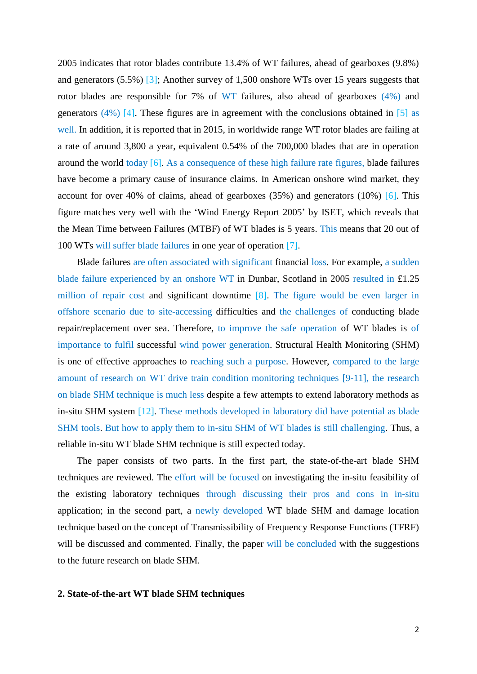2005 indicates that rotor blades contribute 13.4% of WT failures, ahead of gearboxes (9.8%) and generators (5.5%) [3]; Another survey of 1,500 onshore WTs over 15 years suggests that rotor blades are responsible for 7% of WT failures, also ahead of gearboxes (4%) and generators  $(4\%)$  [4]. These figures are in agreement with the conclusions obtained in [5] as well. In addition, it is reported that in 2015, in worldwide range WT rotor blades are failing at a rate of around 3,800 a year, equivalent 0.54% of the 700,000 blades that are in operation around the world today [6]. As a consequence of these high failure rate figures, blade failures have become a primary cause of insurance claims. In American onshore wind market, they account for over 40% of claims, ahead of gearboxes  $(35%)$  and generators  $(10%)$  [6]. This figure matches very well with the 'Wind Energy Report 2005' by ISET, which reveals that the Mean Time between Failures (MTBF) of WT blades is 5 years. This means that 20 out of 100 WTs will suffer blade failures in one year of operation [7].

Blade failures are often associated with significant financial loss. For example, a sudden blade failure experienced by an onshore WT in Dunbar, Scotland in 2005 resulted in £1.25 million of repair cost and significant downtime [8]. The figure would be even larger in offshore scenario due to site-accessing difficulties and the challenges of conducting blade repair/replacement over sea. Therefore, to improve the safe operation of WT blades is of importance to fulfil successful wind power generation. Structural Health Monitoring (SHM) is one of effective approaches to reaching such a purpose. However, compared to the large amount of research on WT drive train condition monitoring techniques [9-11], the research on blade SHM technique is much less despite a few attempts to extend laboratory methods as in-situ SHM system [12]. These methods developed in laboratory did have potential as blade SHM tools. But how to apply them to in-situ SHM of WT blades is still challenging. Thus, a reliable in-situ WT blade SHM technique is still expected today.

The paper consists of two parts. In the first part, the state-of-the-art blade SHM techniques are reviewed. The effort will be focused on investigating the in-situ feasibility of the existing laboratory techniques through discussing their pros and cons in in-situ application; in the second part, a newly developed WT blade SHM and damage location technique based on the concept of Transmissibility of Frequency Response Functions (TFRF) will be discussed and commented. Finally, the paper will be concluded with the suggestions to the future research on blade SHM.

## **2. State-of-the-art WT blade SHM techniques**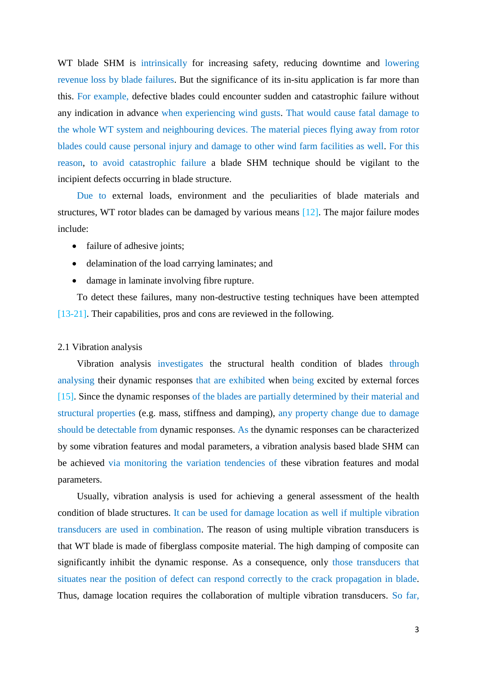WT blade SHM is intrinsically for increasing safety, reducing downtime and lowering revenue loss by blade failures. But the significance of its in-situ application is far more than this. For example, defective blades could encounter sudden and catastrophic failure without any indication in advance when experiencing wind gusts. That would cause fatal damage to the whole WT system and neighbouring devices. The material pieces flying away from rotor blades could cause personal injury and damage to other wind farm facilities as well. For this reason, to avoid catastrophic failure a blade SHM technique should be vigilant to the incipient defects occurring in blade structure.

Due to external loads, environment and the peculiarities of blade materials and structures, WT rotor blades can be damaged by various means [12]. The major failure modes include:

- failure of adhesive joints;
- delamination of the load carrying laminates; and
- damage in laminate involving fibre rupture.

To detect these failures, many non-destructive testing techniques have been attempted [13-21]. Their capabilities, pros and cons are reviewed in the following.

#### 2.1 Vibration analysis

Vibration analysis investigates the structural health condition of blades through analysing their dynamic responses that are exhibited when being excited by external forces [15]. Since the dynamic responses of the blades are partially determined by their material and structural properties (e.g. mass, stiffness and damping), any property change due to damage should be detectable from dynamic responses. As the dynamic responses can be characterized by some vibration features and modal parameters, a vibration analysis based blade SHM can be achieved via monitoring the variation tendencies of these vibration features and modal parameters.

Usually, vibration analysis is used for achieving a general assessment of the health condition of blade structures. It can be used for damage location as well if multiple vibration transducers are used in combination. The reason of using multiple vibration transducers is that WT blade is made of fiberglass composite material. The high damping of composite can significantly inhibit the dynamic response. As a consequence, only those transducers that situates near the position of defect can respond correctly to the crack propagation in blade. Thus, damage location requires the collaboration of multiple vibration transducers. So far,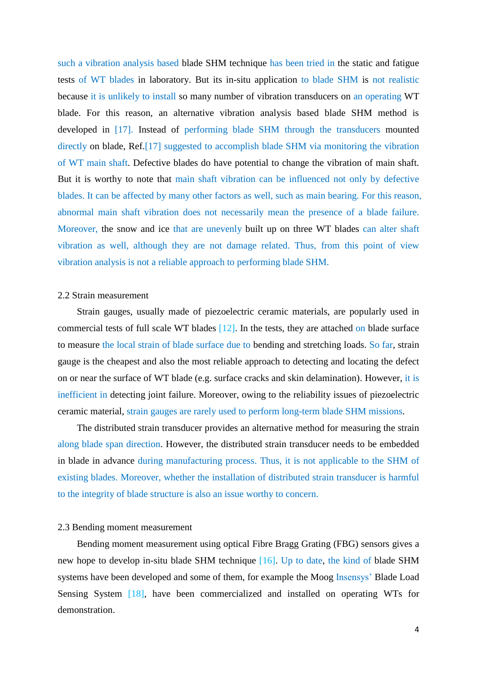such a vibration analysis based blade SHM technique has been tried in the static and fatigue tests of WT blades in laboratory. But its in-situ application to blade SHM is not realistic because it is unlikely to install so many number of vibration transducers on an operating WT blade. For this reason, an alternative vibration analysis based blade SHM method is developed in [17]. Instead of performing blade SHM through the transducers mounted directly on blade, Ref.[17] suggested to accomplish blade SHM via monitoring the vibration of WT main shaft. Defective blades do have potential to change the vibration of main shaft. But it is worthy to note that main shaft vibration can be influenced not only by defective blades. It can be affected by many other factors as well, such as main bearing. For this reason, abnormal main shaft vibration does not necessarily mean the presence of a blade failure. Moreover, the snow and ice that are unevenly built up on three WT blades can alter shaft vibration as well, although they are not damage related. Thus, from this point of view vibration analysis is not a reliable approach to performing blade SHM.

## 2.2 Strain measurement

Strain gauges, usually made of piezoelectric ceramic materials, are popularly used in commercial tests of full scale WT blades [12]. In the tests, they are attached on blade surface to measure the local strain of blade surface due to bending and stretching loads. So far, strain gauge is the cheapest and also the most reliable approach to detecting and locating the defect on or near the surface of WT blade (e.g. surface cracks and skin delamination). However, it is inefficient in detecting joint failure. Moreover, owing to the reliability issues of piezoelectric ceramic material, strain gauges are rarely used to perform long-term blade SHM missions.

The distributed strain transducer provides an alternative method for measuring the strain along blade span direction. However, the distributed strain transducer needs to be embedded in blade in advance during manufacturing process. Thus, it is not applicable to the SHM of existing blades. Moreover, whether the installation of distributed strain transducer is harmful to the integrity of blade structure is also an issue worthy to concern.

#### 2.3 Bending moment measurement

Bending moment measurement using optical Fibre Bragg Grating (FBG) sensors gives a new hope to develop in-situ blade SHM technique [16]. Up to date, the kind of blade SHM systems have been developed and some of them, for example the Moog Insensys' Blade Load Sensing System [18], have been commercialized and installed on operating WTs for demonstration.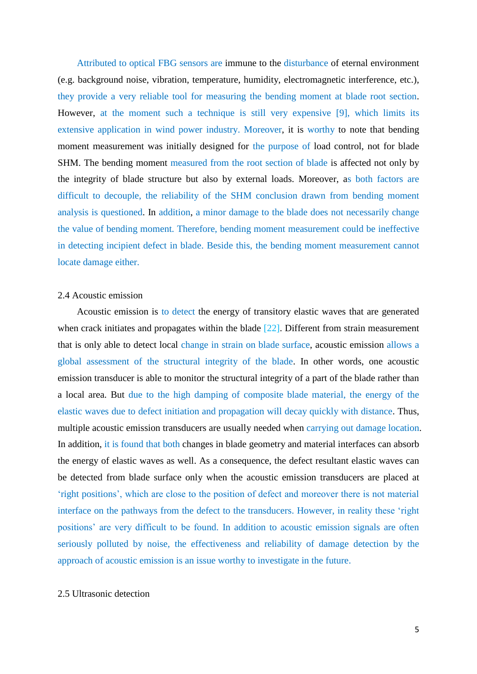Attributed to optical FBG sensors are immune to the disturbance of eternal environment (e.g. background noise, vibration, temperature, humidity, electromagnetic interference, etc.), they provide a very reliable tool for measuring the bending moment at blade root section. However, at the moment such a technique is still very expensive [9], which limits its extensive application in wind power industry. Moreover, it is worthy to note that bending moment measurement was initially designed for the purpose of load control, not for blade SHM. The bending moment measured from the root section of blade is affected not only by the integrity of blade structure but also by external loads. Moreover, as both factors are difficult to decouple, the reliability of the SHM conclusion drawn from bending moment analysis is questioned. In addition, a minor damage to the blade does not necessarily change the value of bending moment. Therefore, bending moment measurement could be ineffective in detecting incipient defect in blade. Beside this, the bending moment measurement cannot locate damage either.

# 2.4 Acoustic emission

Acoustic emission is to detect the energy of transitory elastic waves that are generated when crack initiates and propagates within the blade [22]. Different from strain measurement that is only able to detect local change in strain on blade surface, acoustic emission allows a global assessment of the structural integrity of the blade. In other words, one acoustic emission transducer is able to monitor the structural integrity of a part of the blade rather than a local area. But due to the high damping of composite blade material, the energy of the elastic waves due to defect initiation and propagation will decay quickly with distance. Thus, multiple acoustic emission transducers are usually needed when carrying out damage location. In addition, it is found that both changes in blade geometry and material interfaces can absorb the energy of elastic waves as well. As a consequence, the defect resultant elastic waves can be detected from blade surface only when the acoustic emission transducers are placed at 'right positions', which are close to the position of defect and moreover there is not material interface on the pathways from the defect to the transducers. However, in reality these 'right positions' are very difficult to be found. In addition to acoustic emission signals are often seriously polluted by noise, the effectiveness and reliability of damage detection by the approach of acoustic emission is an issue worthy to investigate in the future.

# 2.5 Ultrasonic detection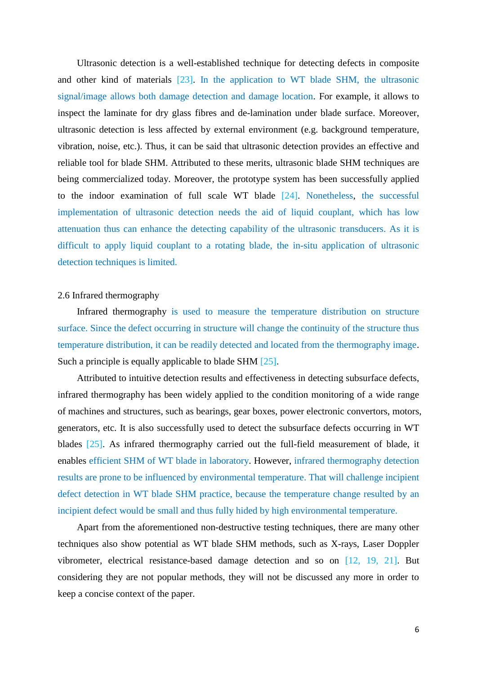Ultrasonic detection is a well-established technique for detecting defects in composite and other kind of materials [23]. In the application to WT blade SHM, the ultrasonic signal/image allows both damage detection and damage location. For example, it allows to inspect the laminate for dry glass fibres and de-lamination under blade surface. Moreover, ultrasonic detection is less affected by external environment (e.g. background temperature, vibration, noise, etc.). Thus, it can be said that ultrasonic detection provides an effective and reliable tool for blade SHM. Attributed to these merits, ultrasonic blade SHM techniques are being commercialized today. Moreover, the prototype system has been successfully applied to the indoor examination of full scale WT blade [24]. Nonetheless, the successful implementation of ultrasonic detection needs the aid of liquid couplant, which has low attenuation thus can enhance the detecting capability of the ultrasonic transducers. As it is difficult to apply liquid couplant to a rotating blade, the in-situ application of ultrasonic detection techniques is limited.

## 2.6 Infrared thermography

Infrared thermography is used to measure the temperature distribution on structure surface. Since the defect occurring in structure will change the continuity of the structure thus temperature distribution, it can be readily detected and located from the thermography image. Such a principle is equally applicable to blade SHM [25].

Attributed to intuitive detection results and effectiveness in detecting subsurface defects, infrared thermography has been widely applied to the condition monitoring of a wide range of machines and structures, such as bearings, gear boxes, power electronic convertors, motors, generators, etc. It is also successfully used to detect the subsurface defects occurring in WT blades [25]. As infrared thermography carried out the full-field measurement of blade, it enables efficient SHM of WT blade in laboratory. However, infrared thermography detection results are prone to be influenced by environmental temperature. That will challenge incipient defect detection in WT blade SHM practice, because the temperature change resulted by an incipient defect would be small and thus fully hided by high environmental temperature.

Apart from the aforementioned non-destructive testing techniques, there are many other techniques also show potential as WT blade SHM methods, such as X-rays, Laser Doppler vibrometer, electrical resistance-based damage detection and so on [12, 19, 21]. But considering they are not popular methods, they will not be discussed any more in order to keep a concise context of the paper.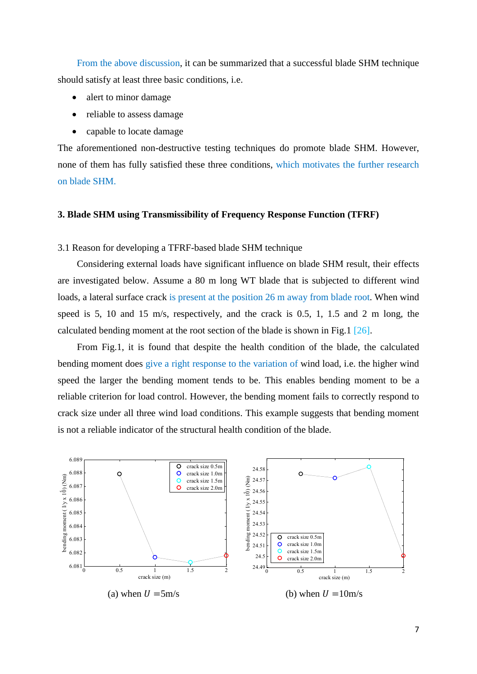From the above discussion, it can be summarized that a successful blade SHM technique should satisfy at least three basic conditions, i.e.

- alert to minor damage
- reliable to assess damage
- capable to locate damage

The aforementioned non-destructive testing techniques do promote blade SHM. However, none of them has fully satisfied these three conditions, which motivates the further research on blade SHM.

## **3. Blade SHM using Transmissibility of Frequency Response Function (TFRF)**

3.1 Reason for developing a TFRF-based blade SHM technique

Considering external loads have significant influence on blade SHM result, their effects are investigated below. Assume a 80 m long WT blade that is subjected to different wind loads, a lateral surface crack is present at the position 26 m away from blade root. When wind speed is 5, 10 and 15 m/s, respectively, and the crack is 0.5, 1, 1.5 and 2 m long, the calculated bending moment at the root section of the blade is shown in Fig.1 [26].

From Fig.1, it is found that despite the health condition of the blade, the calculated bending moment does give a right response to the variation of wind load, i.e. the higher wind speed the larger the bending moment tends to be. This enables bending moment to be a reliable criterion for load control. However, the bending moment fails to correctly respond to crack size under all three wind load conditions. This example suggests that bending moment is not a reliable indicator of the structural health condition of the blade.

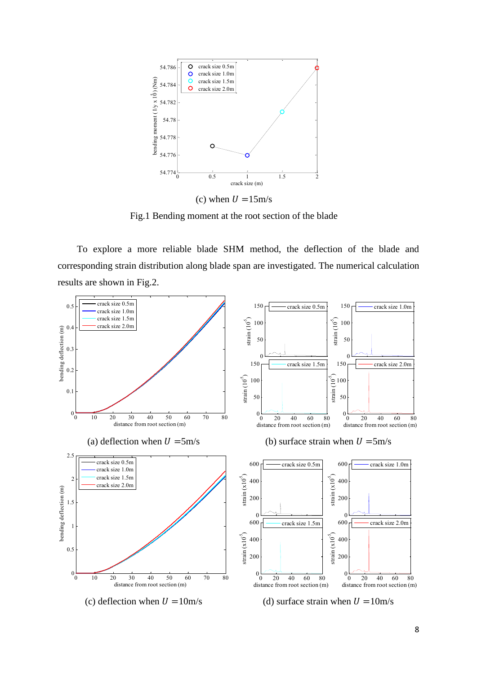

Fig.1 Bending moment at the root section of the blade

To explore a more reliable blade SHM method, the deflection of the blade and corresponding strain distribution along blade span are investigated. The numerical calculation results are shown in Fig.2.

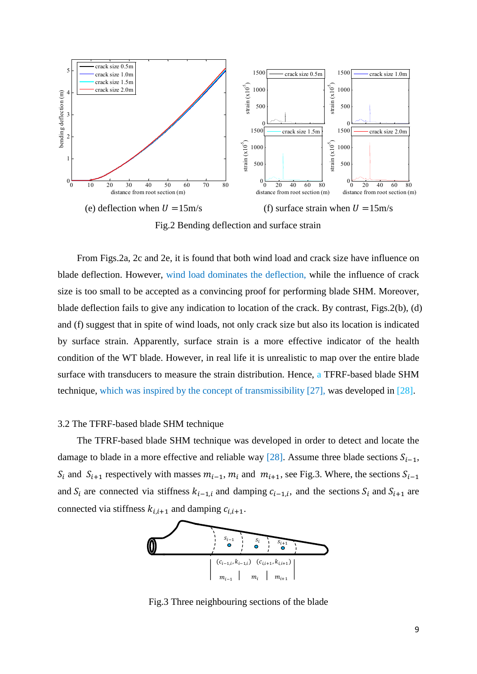

Fig.2 Bending deflection and surface strain

From Figs.2a, 2c and 2e, it is found that both wind load and crack size have influence on blade deflection. However, wind load dominates the deflection, while the influence of crack size is too small to be accepted as a convincing proof for performing blade SHM. Moreover, blade deflection fails to give any indication to location of the crack. By contrast, Figs.2(b), (d) and (f) suggest that in spite of wind loads, not only crack size but also its location is indicated by surface strain. Apparently, surface strain is a more effective indicator of the health condition of the WT blade. However, in real life it is unrealistic to map over the entire blade surface with transducers to measure the strain distribution. Hence, a TFRF-based blade SHM technique, which was inspired by the concept of transmissibility [27], was developed in [28].

## 3.2 The TFRF-based blade SHM technique

The TFRF-based blade SHM technique was developed in order to detect and locate the damage to blade in a more effective and reliable way [28]. Assume three blade sections  $S_{i-1}$ ,  $S_i$  and  $S_{i+1}$  respectively with masses  $m_{i-1}$ ,  $m_i$  and  $m_{i+1}$ , see Fig.3. Where, the sections  $S_{i-1}$ and  $S_i$  are connected via stiffness  $k_{i-1,i}$  and damping  $c_{i-1,i}$ , and the sections  $S_i$  and  $S_{i+1}$  are connected via stiffness  $k_{i,i+1}$  and damping  $c_{i,i+1}$ .



Fig.3 Three neighbouring sections of the blade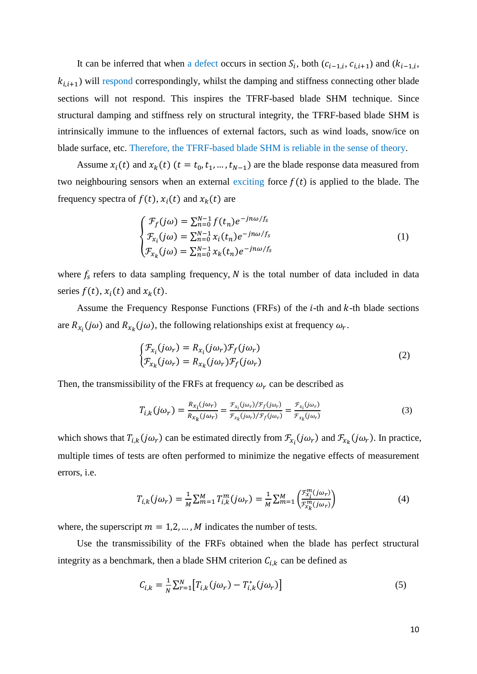It can be inferred that when a defect occurs in section  $S_i$ , both  $(c_{i-1,i}, c_{i,i+1})$  and  $(k_{i-1,i})$  $k_{i,i+1}$ ) will respond correspondingly, whilst the damping and stiffness connecting other blade sections will not respond. This inspires the TFRF-based blade SHM technique. Since structural damping and stiffness rely on structural integrity, the TFRF-based blade SHM is intrinsically immune to the influences of external factors, such as wind loads, snow/ice on blade surface, etc. Therefore, the TFRF-based blade SHM is reliable in the sense of theory.

Assume  $x_i(t)$  and  $x_k(t)$   $(t = t_0, t_1, ..., t_{N-1})$  are the blade response data measured from two neighbouring sensors when an external exciting force  $f(t)$  is applied to the blade. The frequency spectra of  $f(t)$ ,  $x_i(t)$  and  $x_k(t)$  are

$$
\begin{cases}\n\mathcal{F}_f(j\omega) = \sum_{n=0}^{N-1} f(t_n) e^{-jn\omega/f_s} \\
\mathcal{F}_{x_i}(j\omega) = \sum_{n=0}^{N-1} x_i(t_n) e^{-jn\omega/f_s} \\
\mathcal{F}_{x_k}(j\omega) = \sum_{n=0}^{N-1} x_k(t_n) e^{-jn\omega/f_s}\n\end{cases} (1)
$$

where  $f_s$  refers to data sampling frequency, N is the total number of data included in data series  $f(t)$ ,  $x_i(t)$  and  $x_k(t)$ .

Assume the Frequency Response Functions (FRFs) of the  $i$ -th and  $k$ -th blade sections are  $R_{x_i}(j\omega)$  and  $R_{x_k}(j\omega)$ , the following relationships exist at frequency  $\omega_r$ .

$$
\begin{cases}\n\mathcal{F}_{x_i}(j\omega_r) = R_{x_i}(j\omega_r)\mathcal{F}_f(j\omega_r) \\
\mathcal{F}_{x_k}(j\omega_r) = R_{x_k}(j\omega_r)\mathcal{F}_f(j\omega_r)\n\end{cases}
$$
\n(2)

Then, the transmissibility of the FRFs at frequency  $\omega_r$  can be described as

$$
T_{i,k}(j\omega_r) = \frac{R_{x_i}(j\omega_r)}{R_{x_k}(j\omega_r)} = \frac{\mathcal{F}_{x_i}(j\omega_r)/\mathcal{F}_f(j\omega_r)}{\mathcal{F}_{x_k}(j\omega_r)/\mathcal{F}_f(j\omega_r)} = \frac{\mathcal{F}_{x_i}(j\omega_r)}{\mathcal{F}_{x_k}(j\omega_r)}
$$
(3)

which shows that  $T_{i,k}(j\omega_r)$  can be estimated directly from  $\mathcal{F}_{x_i}(j\omega_r)$  and  $\mathcal{F}_{x_k}(j\omega_r)$ . In practice, multiple times of tests are often performed to minimize the negative effects of measurement errors, i.e.

$$
T_{i,k}(j\omega_r) = \frac{1}{M} \sum_{m=1}^{M} T_{i,k}^m(j\omega_r) = \frac{1}{M} \sum_{m=1}^{M} \left( \frac{\mathcal{F}_{x_i}^m(j\omega_r)}{\mathcal{F}_{x_k}^m(j\omega_r)} \right)
$$
(4)

where, the superscript  $m = 1, 2, ..., M$  indicates the number of tests.

Use the transmissibility of the FRFs obtained when the blade has perfect structural integrity as a benchmark, then a blade SHM criterion  $C_{i,k}$  can be defined as

$$
C_{i,k} = \frac{1}{N} \sum_{r=1}^{N} \left[ T_{i,k} (j\omega_r) - T_{i,k}^* (j\omega_r) \right]
$$
 (5)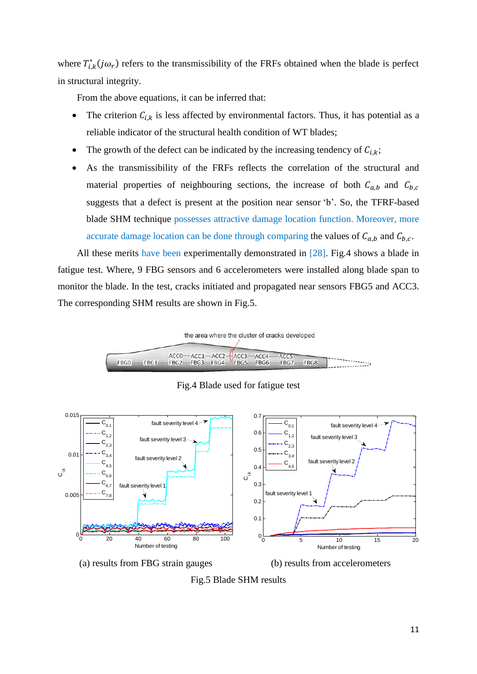where  $T_{i,k}^*(j\omega_r)$  refers to the transmissibility of the FRFs obtained when the blade is perfect in structural integrity.

From the above equations, it can be inferred that:

- The criterion  $C_{i,k}$  is less affected by environmental factors. Thus, it has potential as a reliable indicator of the structural health condition of WT blades;
- The growth of the defect can be indicated by the increasing tendency of  $C_{i,k}$ ;
- As the transmissibility of the FRFs reflects the correlation of the structural and material properties of neighbouring sections, the increase of both  $C_{a,b}$  and  $C_{b,c}$ suggests that a defect is present at the position near sensor 'b'. So, the TFRF-based blade SHM technique possesses attractive damage location function. Moreover, more accurate damage location can be done through comparing the values of  $C_{a,b}$  and  $C_{b,c}$ .

All these merits have been experimentally demonstrated in [28]. Fig.4 shows a blade in fatigue test. Where, 9 FBG sensors and 6 accelerometers were installed along blade span to monitor the blade. In the test, cracks initiated and propagated near sensors FBG5 and ACC3. The corresponding SHM results are shown in Fig.5.



Fig.4 Blade used for fatigue test



Fig.5 Blade SHM results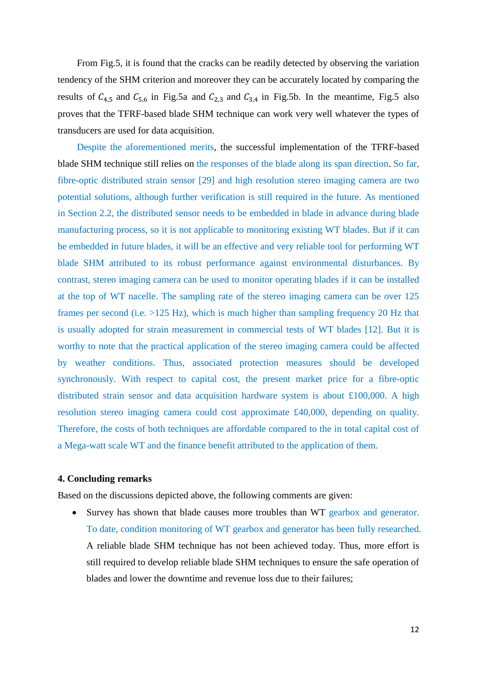From Fig.5, it is found that the cracks can be readily detected by observing the variation tendency of the SHM criterion and moreover they can be accurately located by comparing the results of  $C_{4,5}$  and  $C_{5,6}$  in Fig.5a and  $C_{2,3}$  and  $C_{3,4}$  in Fig.5b. In the meantime, Fig.5 also proves that the TFRF-based blade SHM technique can work very well whatever the types of transducers are used for data acquisition.

Despite the aforementioned merits, the successful implementation of the TFRF-based blade SHM technique still relies on the responses of the blade along its span direction. So far, fibre-optic distributed strain sensor [29] and high resolution stereo imaging camera are two potential solutions, although further verification is still required in the future. As mentioned in Section 2.2, the distributed sensor needs to be embedded in blade in advance during blade manufacturing process, so it is not applicable to monitoring existing WT blades. But if it can be embedded in future blades, it will be an effective and very reliable tool for performing WT blade SHM attributed to its robust performance against environmental disturbances. By contrast, stereo imaging camera can be used to monitor operating blades if it can be installed at the top of WT nacelle. The sampling rate of the stereo imaging camera can be over 125 frames per second (i.e. >125 Hz), which is much higher than sampling frequency 20 Hz that is usually adopted for strain measurement in commercial tests of WT blades [12]. But it is worthy to note that the practical application of the stereo imaging camera could be affected by weather conditions. Thus, associated protection measures should be developed synchronously. With respect to capital cost, the present market price for a fibre-optic distributed strain sensor and data acquisition hardware system is about £100,000. A high resolution stereo imaging camera could cost approximate £40,000, depending on quality. Therefore, the costs of both techniques are affordable compared to the in total capital cost of a Mega-watt scale WT and the finance benefit attributed to the application of them.

## **4. Concluding remarks**

Based on the discussions depicted above, the following comments are given:

 Survey has shown that blade causes more troubles than WT gearbox and generator. To date, condition monitoring of WT gearbox and generator has been fully researched. A reliable blade SHM technique has not been achieved today. Thus, more effort is still required to develop reliable blade SHM techniques to ensure the safe operation of blades and lower the downtime and revenue loss due to their failures;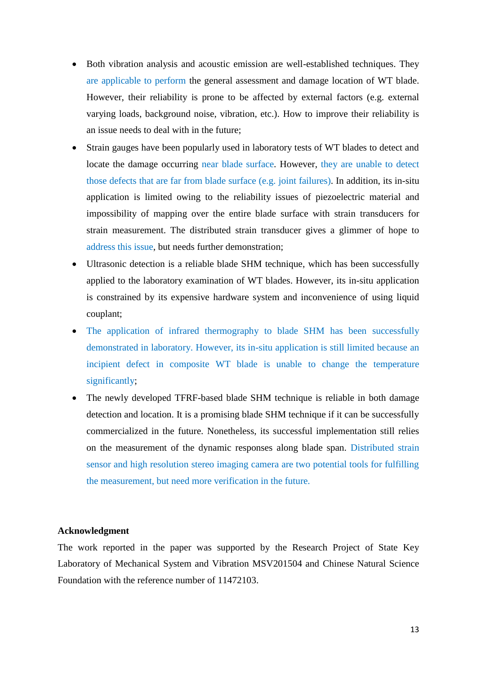- Both vibration analysis and acoustic emission are well-established techniques. They are applicable to perform the general assessment and damage location of WT blade. However, their reliability is prone to be affected by external factors (e.g. external varying loads, background noise, vibration, etc.). How to improve their reliability is an issue needs to deal with in the future;
- Strain gauges have been popularly used in laboratory tests of WT blades to detect and locate the damage occurring near blade surface. However, they are unable to detect those defects that are far from blade surface (e.g. joint failures). In addition, its in-situ application is limited owing to the reliability issues of piezoelectric material and impossibility of mapping over the entire blade surface with strain transducers for strain measurement. The distributed strain transducer gives a glimmer of hope to address this issue, but needs further demonstration;
- Ultrasonic detection is a reliable blade SHM technique, which has been successfully applied to the laboratory examination of WT blades. However, its in-situ application is constrained by its expensive hardware system and inconvenience of using liquid couplant;
- The application of infrared thermography to blade SHM has been successfully demonstrated in laboratory. However, its in-situ application is still limited because an incipient defect in composite WT blade is unable to change the temperature significantly;
- The newly developed TFRF-based blade SHM technique is reliable in both damage detection and location. It is a promising blade SHM technique if it can be successfully commercialized in the future. Nonetheless, its successful implementation still relies on the measurement of the dynamic responses along blade span. Distributed strain sensor and high resolution stereo imaging camera are two potential tools for fulfilling the measurement, but need more verification in the future.

## **Acknowledgment**

The work reported in the paper was supported by the Research Project of State Key Laboratory of Mechanical System and Vibration MSV201504 and Chinese Natural Science Foundation with the reference number of 11472103.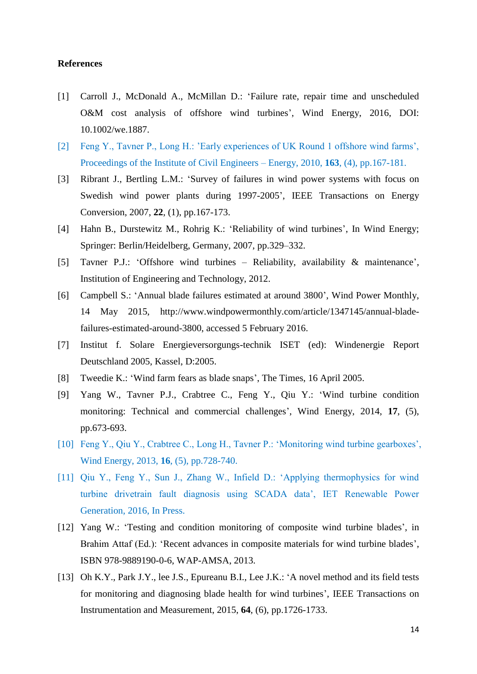## **References**

- [1] Carroll J., McDonald A., McMillan D.: 'Failure rate, repair time and unscheduled O&M cost analysis of offshore wind turbines', Wind Energy, 2016, DOI: 10.1002/we.1887.
- [2] Feng Y., Tavner P., Long H.: 'Early experiences of UK Round 1 offshore wind farms', Proceedings of the Institute of Civil Engineers – Energy, 2010, **163**, (4), pp.167-181.
- [3] Ribrant J., Bertling L.M.: 'Survey of failures in wind power systems with focus on Swedish wind power plants during 1997-2005', IEEE Transactions on Energy Conversion, 2007, **22**, (1), pp.167-173.
- [4] Hahn B., Durstewitz M., Rohrig K.: 'Reliability of wind turbines', In Wind Energy; Springer: Berlin/Heidelberg, Germany, 2007, pp.329–332.
- [5] Tavner P.J.: 'Offshore wind turbines Reliability, availability & maintenance', Institution of Engineering and Technology, 2012.
- [6] Campbell S.: 'Annual blade failures estimated at around 3800', Wind Power Monthly, 14 May 2015, [http://www.windpowermonthly.com/article/1347145/annual-blade](http://www.windpowermonthly.com/article/1347145/annual-blade-failures-estimated-around-3800)[failures-estimated-around-3800,](http://www.windpowermonthly.com/article/1347145/annual-blade-failures-estimated-around-3800) accessed 5 February 2016.
- [7] Institut f. Solare Energieversorgungs-technik ISET (ed): Windenergie Report Deutschland 2005, Kassel, D:2005.
- [8] Tweedie K.: 'Wind farm fears as blade snaps', The Times, 16 April 2005.
- [9] Yang W., Tavner P.J., Crabtree C., Feng Y., Qiu Y.: 'Wind turbine condition monitoring: Technical and commercial challenges', Wind Energy, 2014, **17**, (5), pp.673-693.
- [10] Feng Y., Qiu Y., Crabtree C., Long H., Tavner P.: 'Monitoring wind turbine gearboxes', Wind Energy, 2013, **16**, (5), pp.728-740.
- [11] Qiu Y., Feng Y., Sun J., Zhang W., Infield D.: 'Applying thermophysics for wind turbine drivetrain fault diagnosis using SCADA data', IET Renewable Power Generation, 2016, In Press.
- [12] Yang W.: 'Testing and condition monitoring of composite wind turbine blades', in Brahim Attaf (Ed.): 'Recent advances in composite materials for wind turbine blades', ISBN 978-9889190-0-6, WAP-AMSA, 2013.
- [13] Oh K.Y., Park J.Y., lee J.S., Epureanu B.I., Lee J.K.: 'A novel method and its field tests for monitoring and diagnosing blade health for wind turbines', IEEE Transactions on Instrumentation and Measurement, 2015, **64**, (6), pp.1726-1733.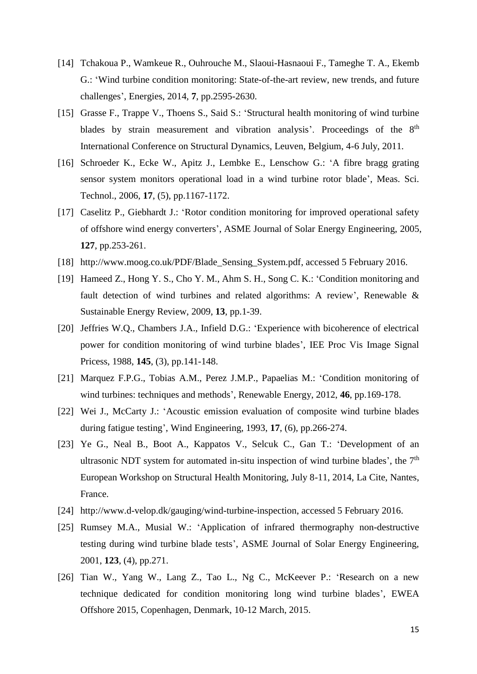- [14] Tchakoua P., Wamkeue R., Ouhrouche M., Slaoui-Hasnaoui F., Tameghe T. A., Ekemb G.: 'Wind turbine condition monitoring: State-of-the-art review, new trends, and future challenges', Energies, 2014, **7**, pp.2595-2630.
- [15] Grasse F., Trappe V., Thoens S., Said S.: 'Structural health monitoring of wind turbine blades by strain measurement and vibration analysis'. Proceedings of the 8<sup>th</sup> International Conference on Structural Dynamics, Leuven, Belgium, 4-6 July, 2011.
- [16] Schroeder K., Ecke W., Apitz J., Lembke E., Lenschow G.: 'A fibre bragg grating sensor system monitors operational load in a wind turbine rotor blade', Meas. Sci. Technol., 2006, **17**, (5), pp.1167-1172.
- [17] Caselitz P., Giebhardt J.: 'Rotor condition monitoring for improved operational safety of offshore wind energy converters', ASME Journal of Solar Energy Engineering, 2005, **127**, pp.253-261.
- [18] [http://www.moog.co.uk/PDF/Blade\\_Sensing\\_System.pdf,](http://www.moog.co.uk/PDF/Blade_Sensing_System.pdf) accessed 5 February 2016.
- [19] Hameed Z., Hong Y. S., Cho Y. M., Ahm S. H., Song C. K.: 'Condition monitoring and fault detection of wind turbines and related algorithms: A review', Renewable & Sustainable Energy Review, 2009, **13**, pp.1-39.
- [20] Jeffries W.Q., Chambers J.A., Infield D.G.: 'Experience with bicoherence of electrical power for condition monitoring of wind turbine blades', IEE Proc Vis Image Signal Pricess, 1988, **145**, (3), pp.141-148.
- [21] Marquez F.P.G., Tobias A.M., Perez J.M.P., Papaelias M.: 'Condition monitoring of wind turbines: techniques and methods', Renewable Energy, 2012, **46**, pp.169-178.
- [22] Wei J., McCarty J.: 'Acoustic emission evaluation of composite wind turbine blades during fatigue testing', Wind Engineering, 1993, **17**, (6), pp.266-274.
- [23] Ye G., Neal B., Boot A., Kappatos V., Selcuk C., Gan T.: 'Development of an ultrasonic NDT system for automated in-situ inspection of wind turbine blades', the 7<sup>th</sup> European Workshop on Structural Health Monitoring, July 8-11, 2014, La Cite, Nantes, France.
- [24] [http://www.d-velop.dk/gauging/wind-turbine-inspection,](http://www.d-velop.dk/gauging/wind-turbine-inspection) accessed 5 February 2016.
- [25] Rumsey M.A., Musial W.: 'Application of infrared thermography non-destructive testing during wind turbine blade tests', ASME Journal of Solar Energy Engineering, 2001, **123**, (4), pp.271.
- [26] Tian W., Yang W., Lang Z., Tao L., Ng C., McKeever P.: 'Research on a new technique dedicated for condition monitoring long wind turbine blades', EWEA Offshore 2015, Copenhagen, Denmark, 10-12 March, 2015.